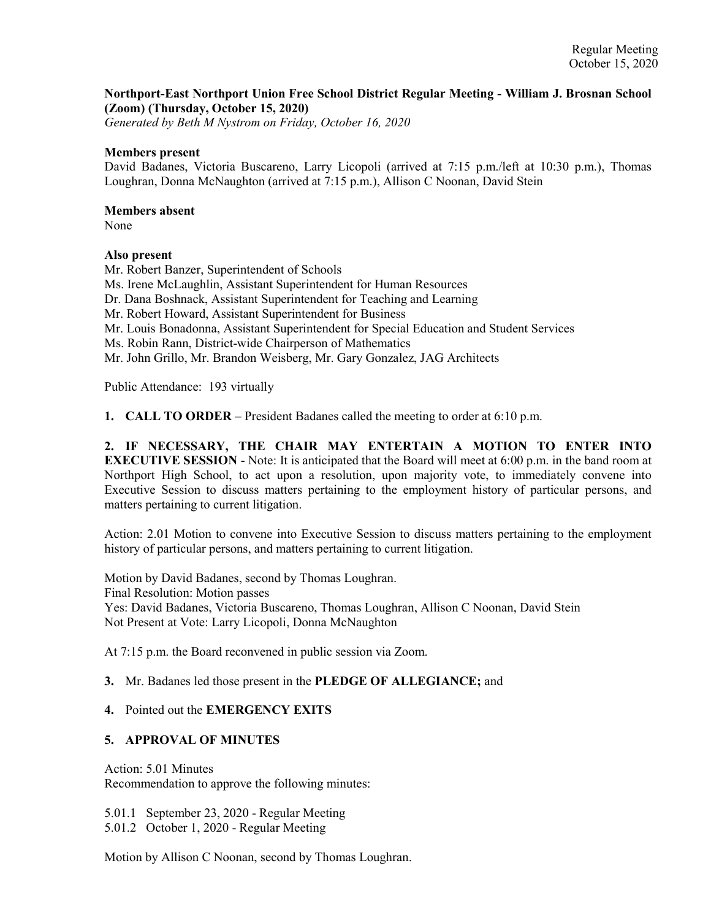### Northport-East Northport Union Free School District Regular Meeting - William J. Brosnan School (Zoom) (Thursday, October 15, 2020)

Generated by Beth M Nystrom on Friday, October 16, 2020

#### Members present

David Badanes, Victoria Buscareno, Larry Licopoli (arrived at 7:15 p.m./left at 10:30 p.m.), Thomas Loughran, Donna McNaughton (arrived at 7:15 p.m.), Allison C Noonan, David Stein

#### Members absent

None

### Also present

Mr. Robert Banzer, Superintendent of Schools Ms. Irene McLaughlin, Assistant Superintendent for Human Resources Dr. Dana Boshnack, Assistant Superintendent for Teaching and Learning Mr. Robert Howard, Assistant Superintendent for Business Mr. Louis Bonadonna, Assistant Superintendent for Special Education and Student Services Ms. Robin Rann, District-wide Chairperson of Mathematics Mr. John Grillo, Mr. Brandon Weisberg, Mr. Gary Gonzalez, JAG Architects Public Attendance: 193 virtually

1. CALL TO ORDER – President Badanes called the meeting to order at 6:10 p.m.

2. IF NECESSARY, THE CHAIR MAY ENTERTAIN A MOTION TO ENTER INTO EXECUTIVE SESSION - Note: It is anticipated that the Board will meet at 6:00 p.m. in the band room at Northport High School, to act upon a resolution, upon majority vote, to immediately convene into Executive Session to discuss matters pertaining to the employment history of particular persons, and matters pertaining to current litigation.

Action: 2.01 Motion to convene into Executive Session to discuss matters pertaining to the employment history of particular persons, and matters pertaining to current litigation.

Motion by David Badanes, second by Thomas Loughran. Final Resolution: Motion passes Yes: David Badanes, Victoria Buscareno, Thomas Loughran, Allison C Noonan, David Stein Not Present at Vote: Larry Licopoli, Donna McNaughton

At 7:15 p.m. the Board reconvened in public session via Zoom.

### 3. Mr. Badanes led those present in the PLEDGE OF ALLEGIANCE; and

4. Pointed out the EMERGENCY EXITS

### 5. APPROVAL OF MINUTES

Action: 5.01 Minutes Recommendation to approve the following minutes:

5.01.1 September 23, 2020 - Regular Meeting

5.01.2 October 1, 2020 - Regular Meeting

Motion by Allison C Noonan, second by Thomas Loughran.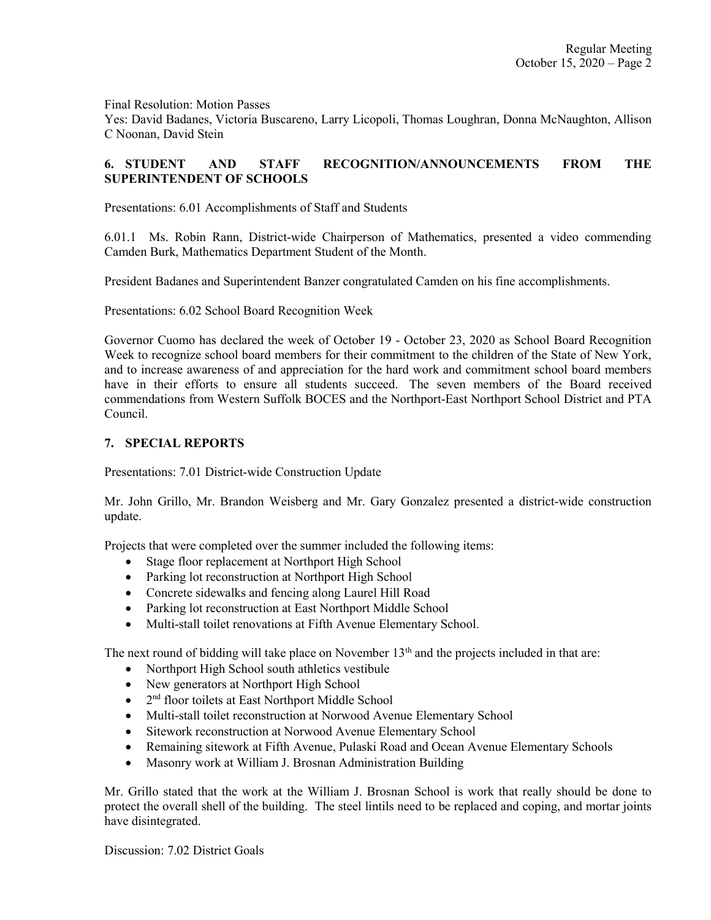Final Resolution: Motion Passes

Yes: David Badanes, Victoria Buscareno, Larry Licopoli, Thomas Loughran, Donna McNaughton, Allison C Noonan, David Stein

# 6. STUDENT AND STAFF RECOGNITION/ANNOUNCEMENTS FROM THE SUPERINTENDENT OF SCHOOLS

Presentations: 6.01 Accomplishments of Staff and Students

6.01.1 Ms. Robin Rann, District-wide Chairperson of Mathematics, presented a video commending Camden Burk, Mathematics Department Student of the Month.

President Badanes and Superintendent Banzer congratulated Camden on his fine accomplishments.

Presentations: 6.02 School Board Recognition Week

Governor Cuomo has declared the week of October 19 - October 23, 2020 as School Board Recognition Week to recognize school board members for their commitment to the children of the State of New York, and to increase awareness of and appreciation for the hard work and commitment school board members have in their efforts to ensure all students succeed. The seven members of the Board received commendations from Western Suffolk BOCES and the Northport-East Northport School District and PTA Council.

### 7. SPECIAL REPORTS

Presentations: 7.01 District-wide Construction Update

Mr. John Grillo, Mr. Brandon Weisberg and Mr. Gary Gonzalez presented a district-wide construction update.

Projects that were completed over the summer included the following items:

- Stage floor replacement at Northport High School
- Parking lot reconstruction at Northport High School
- Concrete sidewalks and fencing along Laurel Hill Road
- Parking lot reconstruction at East Northport Middle School
- Multi-stall toilet renovations at Fifth Avenue Elementary School.

The next round of bidding will take place on November  $13<sup>th</sup>$  and the projects included in that are:

- Northport High School south athletics vestibule
- New generators at Northport High School
- 2<sup>nd</sup> floor toilets at East Northport Middle School
- Multi-stall toilet reconstruction at Norwood Avenue Elementary School
- Sitework reconstruction at Norwood Avenue Elementary School
- Remaining sitework at Fifth Avenue, Pulaski Road and Ocean Avenue Elementary Schools
- Masonry work at William J. Brosnan Administration Building

Mr. Grillo stated that the work at the William J. Brosnan School is work that really should be done to protect the overall shell of the building. The steel lintils need to be replaced and coping, and mortar joints have disintegrated.

Discussion: 7.02 District Goals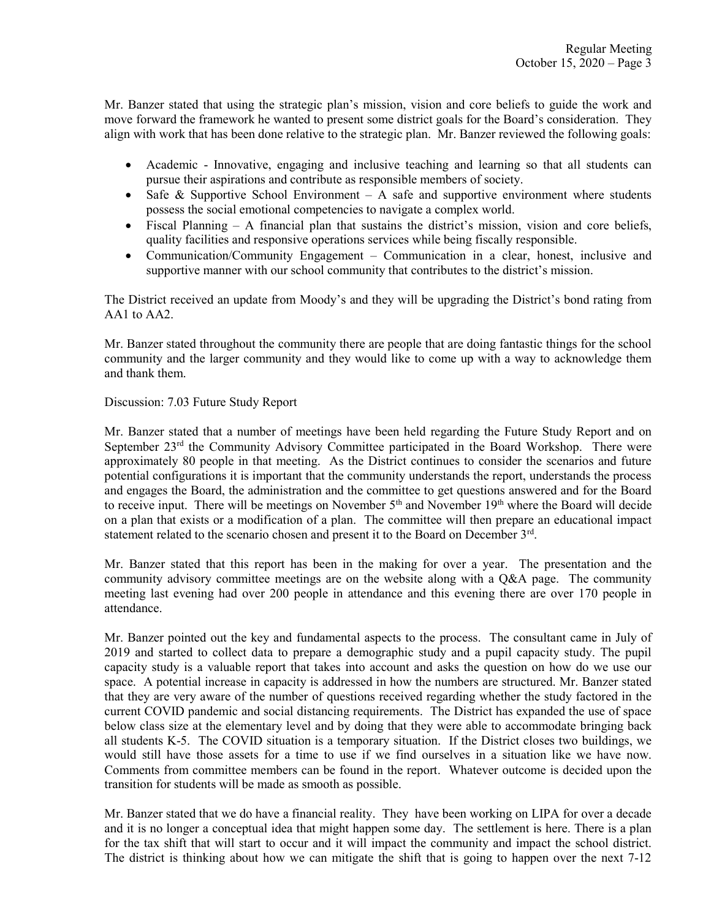Mr. Banzer stated that using the strategic plan's mission, vision and core beliefs to guide the work and move forward the framework he wanted to present some district goals for the Board's consideration. They align with work that has been done relative to the strategic plan. Mr. Banzer reviewed the following goals:

- Academic Innovative, engaging and inclusive teaching and learning so that all students can pursue their aspirations and contribute as responsible members of society.
- Safe & Supportive School Environment A safe and supportive environment where students possess the social emotional competencies to navigate a complex world.
- $\bullet$  Fiscal Planning A financial plan that sustains the district's mission, vision and core beliefs, quality facilities and responsive operations services while being fiscally responsible.
- Communication/Community Engagement Communication in a clear, honest, inclusive and supportive manner with our school community that contributes to the district's mission.

The District received an update from Moody's and they will be upgrading the District's bond rating from AA1 to AA2.

Mr. Banzer stated throughout the community there are people that are doing fantastic things for the school community and the larger community and they would like to come up with a way to acknowledge them and thank them.

## Discussion: 7.03 Future Study Report

Mr. Banzer stated that a number of meetings have been held regarding the Future Study Report and on September 23<sup>rd</sup> the Community Advisory Committee participated in the Board Workshop. There were approximately 80 people in that meeting. As the District continues to consider the scenarios and future potential configurations it is important that the community understands the report, understands the process and engages the Board, the administration and the committee to get questions answered and for the Board to receive input. There will be meetings on November  $5<sup>th</sup>$  and November  $19<sup>th</sup>$  where the Board will decide on a plan that exists or a modification of a plan. The committee will then prepare an educational impact statement related to the scenario chosen and present it to the Board on December 3<sup>rd</sup>.

Mr. Banzer stated that this report has been in the making for over a year. The presentation and the community advisory committee meetings are on the website along with a Q&A page. The community meeting last evening had over 200 people in attendance and this evening there are over 170 people in attendance.

Mr. Banzer pointed out the key and fundamental aspects to the process. The consultant came in July of 2019 and started to collect data to prepare a demographic study and a pupil capacity study. The pupil capacity study is a valuable report that takes into account and asks the question on how do we use our space. A potential increase in capacity is addressed in how the numbers are structured. Mr. Banzer stated that they are very aware of the number of questions received regarding whether the study factored in the current COVID pandemic and social distancing requirements. The District has expanded the use of space below class size at the elementary level and by doing that they were able to accommodate bringing back all students K-5. The COVID situation is a temporary situation. If the District closes two buildings, we would still have those assets for a time to use if we find ourselves in a situation like we have now. Comments from committee members can be found in the report. Whatever outcome is decided upon the transition for students will be made as smooth as possible.

Mr. Banzer stated that we do have a financial reality. They have been working on LIPA for over a decade and it is no longer a conceptual idea that might happen some day. The settlement is here. There is a plan for the tax shift that will start to occur and it will impact the community and impact the school district. The district is thinking about how we can mitigate the shift that is going to happen over the next 7-12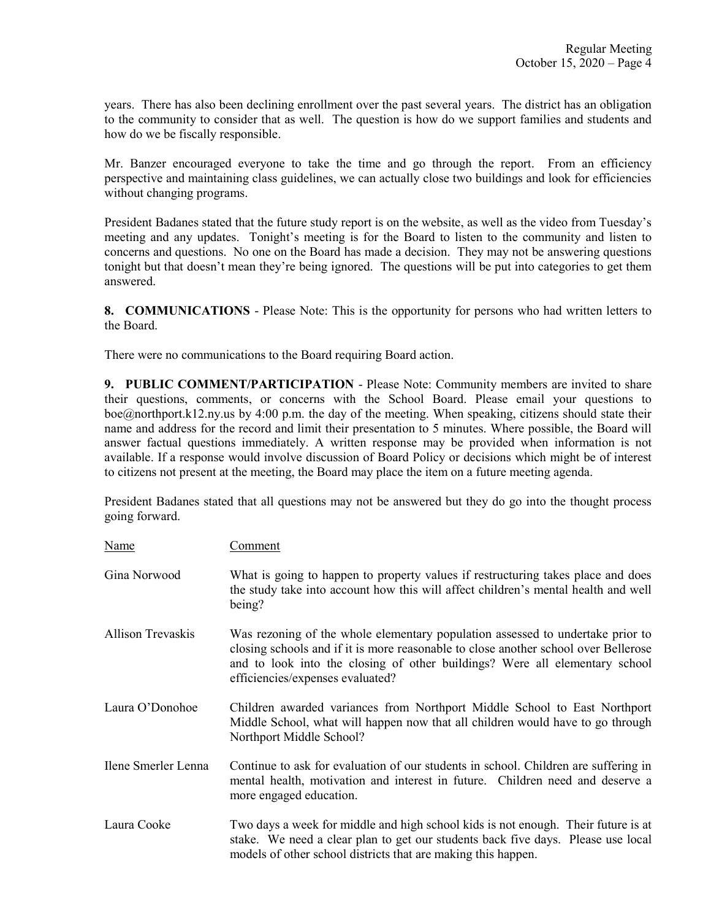years. There has also been declining enrollment over the past several years. The district has an obligation to the community to consider that as well. The question is how do we support families and students and how do we be fiscally responsible.

Mr. Banzer encouraged everyone to take the time and go through the report. From an efficiency perspective and maintaining class guidelines, we can actually close two buildings and look for efficiencies without changing programs.

President Badanes stated that the future study report is on the website, as well as the video from Tuesday's meeting and any updates. Tonight's meeting is for the Board to listen to the community and listen to concerns and questions. No one on the Board has made a decision. They may not be answering questions tonight but that doesn't mean they're being ignored. The questions will be put into categories to get them answered.

8. COMMUNICATIONS - Please Note: This is the opportunity for persons who had written letters to the Board.

There were no communications to the Board requiring Board action.

9. PUBLIC COMMENT/PARTICIPATION - Please Note: Community members are invited to share their questions, comments, or concerns with the School Board. Please email your questions to boe@northport.k12.ny.us by 4:00 p.m. the day of the meeting. When speaking, citizens should state their name and address for the record and limit their presentation to 5 minutes. Where possible, the Board will answer factual questions immediately. A written response may be provided when information is not available. If a response would involve discussion of Board Policy or decisions which might be of interest to citizens not present at the meeting, the Board may place the item on a future meeting agenda.

President Badanes stated that all questions may not be answered but they do go into the thought process going forward.

| Name                | Comment                                                                                                                                                                                                                                                                                  |
|---------------------|------------------------------------------------------------------------------------------------------------------------------------------------------------------------------------------------------------------------------------------------------------------------------------------|
| Gina Norwood        | What is going to happen to property values if restructuring takes place and does<br>the study take into account how this will affect children's mental health and well<br>being?                                                                                                         |
| Allison Trevaskis   | Was rezoning of the whole elementary population assessed to undertake prior to<br>closing schools and if it is more reasonable to close another school over Bellerose<br>and to look into the closing of other buildings? Were all elementary school<br>efficiencies/expenses evaluated? |
| Laura O'Donohoe     | Children awarded variances from Northport Middle School to East Northport<br>Middle School, what will happen now that all children would have to go through<br>Northport Middle School?                                                                                                  |
| Ilene Smerler Lenna | Continue to ask for evaluation of our students in school. Children are suffering in<br>mental health, motivation and interest in future. Children need and deserve a<br>more engaged education.                                                                                          |
| Laura Cooke         | Two days a week for middle and high school kids is not enough. Their future is at<br>stake. We need a clear plan to get our students back five days. Please use local<br>models of other school districts that are making this happen.                                                   |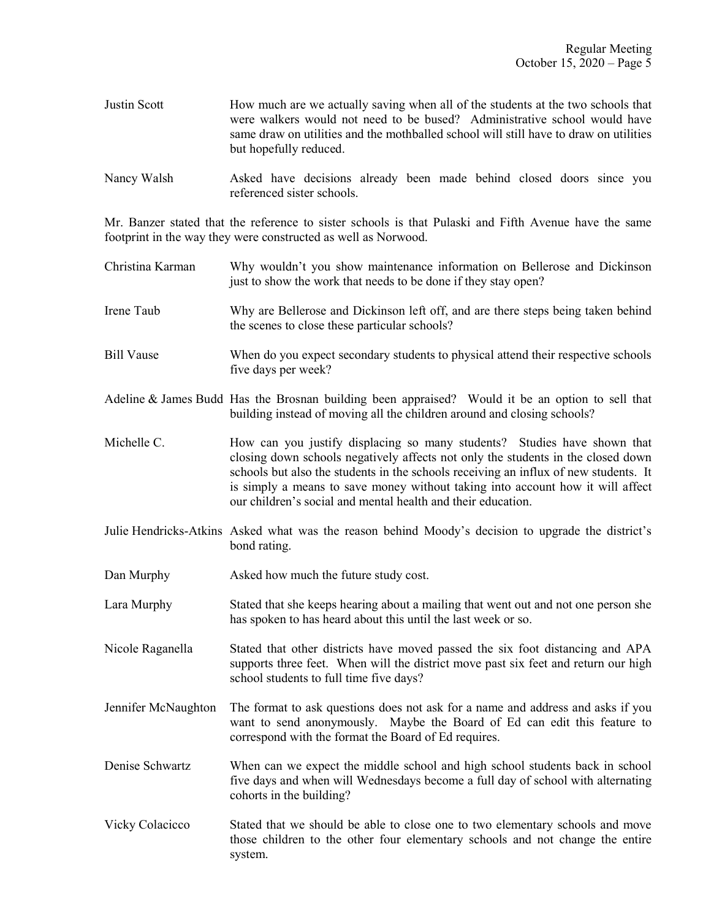- Justin Scott How much are we actually saving when all of the students at the two schools that were walkers would not need to be bused? Administrative school would have same draw on utilities and the mothballed school will still have to draw on utilities but hopefully reduced.
- Nancy Walsh Asked have decisions already been made behind closed doors since you referenced sister schools.

Mr. Banzer stated that the reference to sister schools is that Pulaski and Fifth Avenue have the same footprint in the way they were constructed as well as Norwood.

- Christina Karman Why wouldn't you show maintenance information on Bellerose and Dickinson just to show the work that needs to be done if they stay open?
- Irene Taub Why are Bellerose and Dickinson left off, and are there steps being taken behind the scenes to close these particular schools?
- Bill Vause When do you expect secondary students to physical attend their respective schools five days per week?
- Adeline & James Budd Has the Brosnan building been appraised? Would it be an option to sell that building instead of moving all the children around and closing schools?
- Michelle C. How can you justify displacing so many students? Studies have shown that closing down schools negatively affects not only the students in the closed down schools but also the students in the schools receiving an influx of new students. It is simply a means to save money without taking into account how it will affect our children's social and mental health and their education.
- Julie Hendricks-Atkins Asked what was the reason behind Moody's decision to upgrade the district's bond rating.
- Dan Murphy **Asked how much the future study cost.**
- Lara Murphy Stated that she keeps hearing about a mailing that went out and not one person she has spoken to has heard about this until the last week or so.

Nicole Raganella Stated that other districts have moved passed the six foot distancing and APA supports three feet. When will the district move past six feet and return our high school students to full time five days?

- Jennifer McNaughton The format to ask questions does not ask for a name and address and asks if you want to send anonymously. Maybe the Board of Ed can edit this feature to correspond with the format the Board of Ed requires.
- Denise Schwartz When can we expect the middle school and high school students back in school five days and when will Wednesdays become a full day of school with alternating cohorts in the building?
- Vicky Colacicco Stated that we should be able to close one to two elementary schools and move those children to the other four elementary schools and not change the entire system.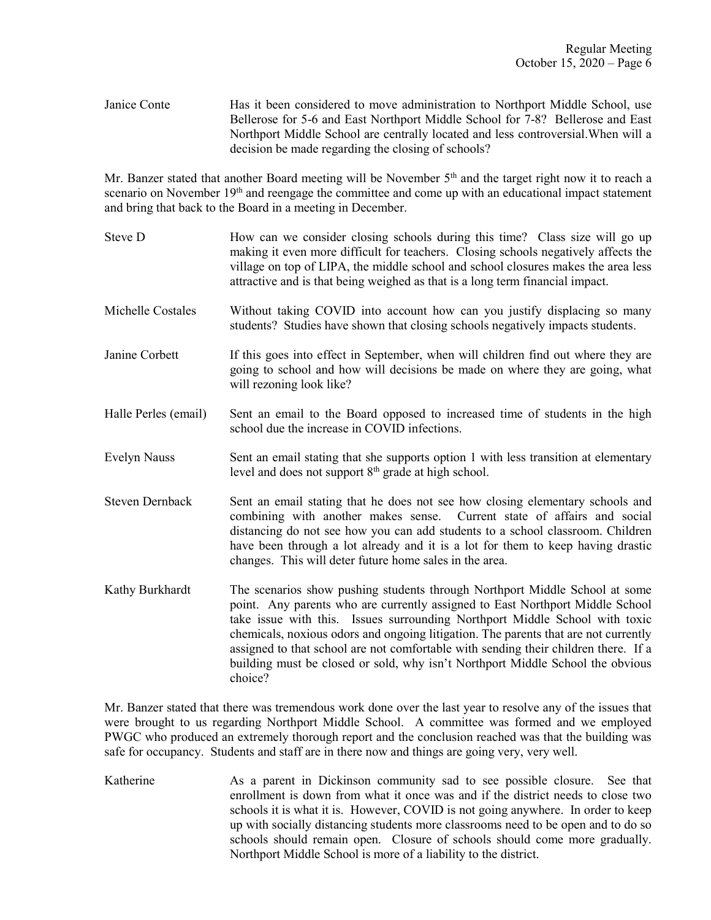Janice Conte Has it been considered to move administration to Northport Middle School, use Bellerose for 5-6 and East Northport Middle School for 7-8? Bellerose and East Northport Middle School are centrally located and less controversial.When will a decision be made regarding the closing of schools?

Mr. Banzer stated that another Board meeting will be November 5<sup>th</sup> and the target right now it to reach a scenario on November 19<sup>th</sup> and reengage the committee and come up with an educational impact statement and bring that back to the Board in a meeting in December.

- Steve D How can we consider closing schools during this time? Class size will go up making it even more difficult for teachers. Closing schools negatively affects the village on top of LIPA, the middle school and school closures makes the area less attractive and is that being weighed as that is a long term financial impact.
- Michelle Costales Without taking COVID into account how can you justify displacing so many students? Studies have shown that closing schools negatively impacts students.
- Janine Corbett If this goes into effect in September, when will children find out where they are going to school and how will decisions be made on where they are going, what will rezoning look like?
- Halle Perles (email) Sent an email to the Board opposed to increased time of students in the high school due the increase in COVID infections.
- Evelyn Nauss Sent an email stating that she supports option 1 with less transition at elementary level and does not support  $8<sup>th</sup>$  grade at high school.
- Steven Dernback Sent an email stating that he does not see how closing elementary schools and combining with another makes sense. Current state of affairs and social distancing do not see how you can add students to a school classroom. Children have been through a lot already and it is a lot for them to keep having drastic changes. This will deter future home sales in the area.
- Kathy Burkhardt The scenarios show pushing students through Northport Middle School at some point. Any parents who are currently assigned to East Northport Middle School take issue with this. Issues surrounding Northport Middle School with toxic chemicals, noxious odors and ongoing litigation. The parents that are not currently assigned to that school are not comfortable with sending their children there. If a building must be closed or sold, why isn't Northport Middle School the obvious choice?

Mr. Banzer stated that there was tremendous work done over the last year to resolve any of the issues that were brought to us regarding Northport Middle School. A committee was formed and we employed PWGC who produced an extremely thorough report and the conclusion reached was that the building was safe for occupancy. Students and staff are in there now and things are going very, very well.

Katherine As a parent in Dickinson community sad to see possible closure. See that enrollment is down from what it once was and if the district needs to close two schools it is what it is. However, COVID is not going anywhere. In order to keep up with socially distancing students more classrooms need to be open and to do so schools should remain open. Closure of schools should come more gradually. Northport Middle School is more of a liability to the district.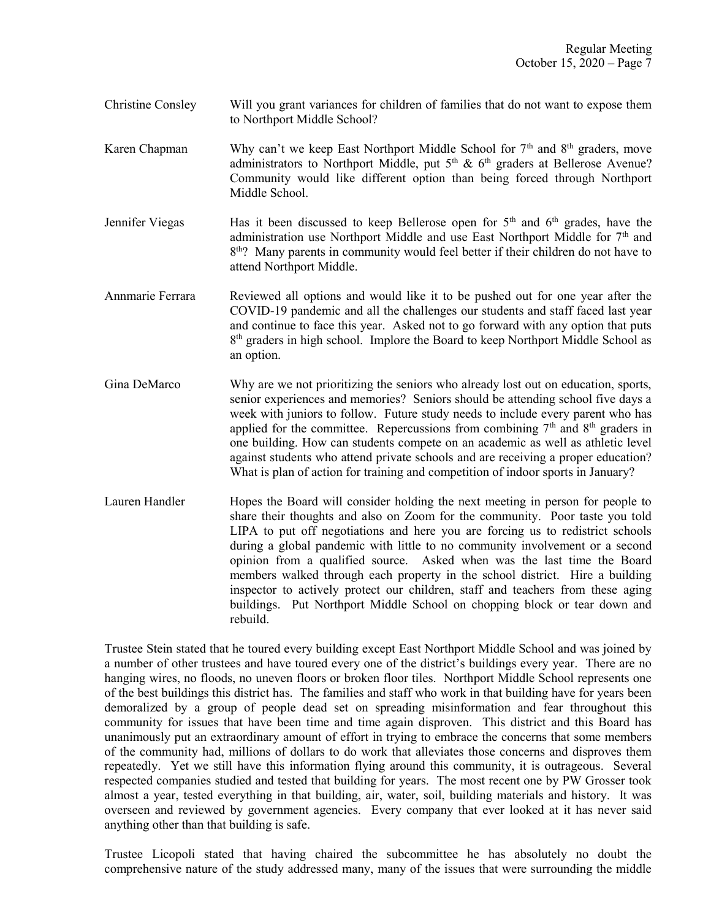- Christine Consley Will you grant variances for children of families that do not want to expose them to Northport Middle School?
- Karen Chapman Why can't we keep East Northport Middle School for  $7<sup>th</sup>$  and  $8<sup>th</sup>$  graders, move administrators to Northport Middle, put  $5<sup>th</sup>$  &  $6<sup>th</sup>$  graders at Bellerose Avenue? Community would like different option than being forced through Northport Middle School.
- Jennifer Viegas Has it been discussed to keep Bellerose open for  $5<sup>th</sup>$  and  $6<sup>th</sup>$  grades, have the administration use Northport Middle and use East Northport Middle for  $7<sup>th</sup>$  and 8<sup>th</sup>? Many parents in community would feel better if their children do not have to attend Northport Middle.
- Annmarie Ferrara Reviewed all options and would like it to be pushed out for one year after the COVID-19 pandemic and all the challenges our students and staff faced last year and continue to face this year. Asked not to go forward with any option that puts 8<sup>th</sup> graders in high school. Implore the Board to keep Northport Middle School as an option.
- Gina DeMarco Why are we not prioritizing the seniors who already lost out on education, sports, senior experiences and memories? Seniors should be attending school five days a week with juniors to follow. Future study needs to include every parent who has applied for the committee. Repercussions from combining  $7<sup>th</sup>$  and  $8<sup>th</sup>$  graders in one building. How can students compete on an academic as well as athletic level against students who attend private schools and are receiving a proper education? What is plan of action for training and competition of indoor sports in January?
- Lauren Handler Hopes the Board will consider holding the next meeting in person for people to share their thoughts and also on Zoom for the community. Poor taste you told LIPA to put off negotiations and here you are forcing us to redistrict schools during a global pandemic with little to no community involvement or a second opinion from a qualified source. Asked when was the last time the Board members walked through each property in the school district. Hire a building inspector to actively protect our children, staff and teachers from these aging buildings. Put Northport Middle School on chopping block or tear down and rebuild.

Trustee Stein stated that he toured every building except East Northport Middle School and was joined by a number of other trustees and have toured every one of the district's buildings every year. There are no hanging wires, no floods, no uneven floors or broken floor tiles. Northport Middle School represents one of the best buildings this district has. The families and staff who work in that building have for years been demoralized by a group of people dead set on spreading misinformation and fear throughout this community for issues that have been time and time again disproven. This district and this Board has unanimously put an extraordinary amount of effort in trying to embrace the concerns that some members of the community had, millions of dollars to do work that alleviates those concerns and disproves them repeatedly. Yet we still have this information flying around this community, it is outrageous. Several respected companies studied and tested that building for years. The most recent one by PW Grosser took almost a year, tested everything in that building, air, water, soil, building materials and history. It was overseen and reviewed by government agencies. Every company that ever looked at it has never said anything other than that building is safe.

Trustee Licopoli stated that having chaired the subcommittee he has absolutely no doubt the comprehensive nature of the study addressed many, many of the issues that were surrounding the middle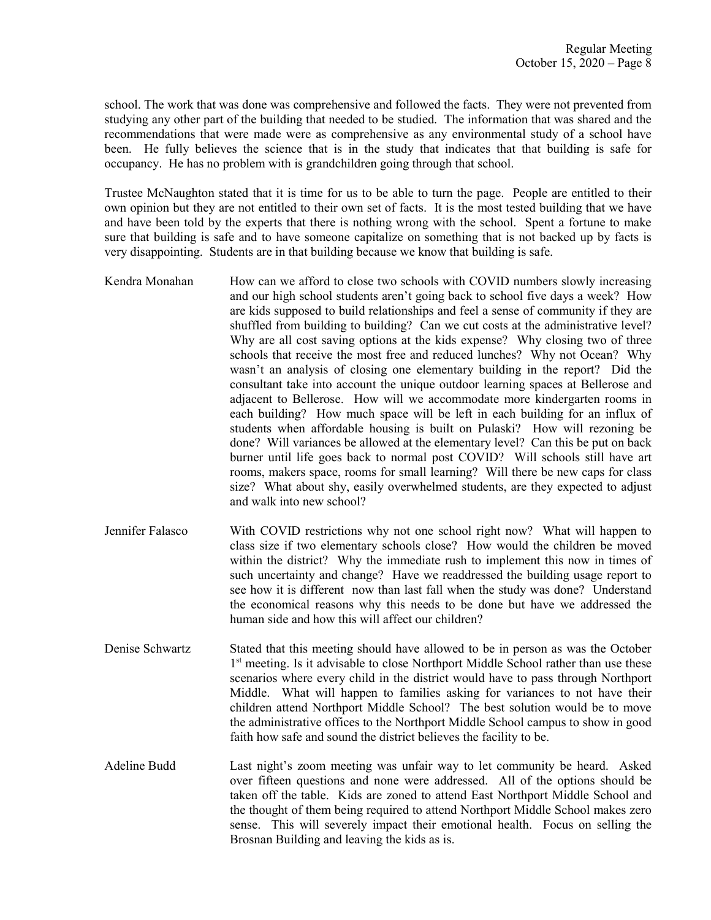school. The work that was done was comprehensive and followed the facts. They were not prevented from studying any other part of the building that needed to be studied. The information that was shared and the recommendations that were made were as comprehensive as any environmental study of a school have been. He fully believes the science that is in the study that indicates that that building is safe for occupancy. He has no problem with is grandchildren going through that school.

Trustee McNaughton stated that it is time for us to be able to turn the page. People are entitled to their own opinion but they are not entitled to their own set of facts. It is the most tested building that we have and have been told by the experts that there is nothing wrong with the school. Spent a fortune to make sure that building is safe and to have someone capitalize on something that is not backed up by facts is very disappointing. Students are in that building because we know that building is safe.

- Kendra Monahan How can we afford to close two schools with COVID numbers slowly increasing and our high school students aren't going back to school five days a week? How are kids supposed to build relationships and feel a sense of community if they are shuffled from building to building? Can we cut costs at the administrative level? Why are all cost saving options at the kids expense? Why closing two of three schools that receive the most free and reduced lunches? Why not Ocean? Why wasn't an analysis of closing one elementary building in the report? Did the consultant take into account the unique outdoor learning spaces at Bellerose and adjacent to Bellerose. How will we accommodate more kindergarten rooms in each building? How much space will be left in each building for an influx of students when affordable housing is built on Pulaski? How will rezoning be done? Will variances be allowed at the elementary level? Can this be put on back burner until life goes back to normal post COVID? Will schools still have art rooms, makers space, rooms for small learning? Will there be new caps for class size? What about shy, easily overwhelmed students, are they expected to adjust and walk into new school?
- Jennifer Falasco With COVID restrictions why not one school right now? What will happen to class size if two elementary schools close? How would the children be moved within the district? Why the immediate rush to implement this now in times of such uncertainty and change? Have we readdressed the building usage report to see how it is different now than last fall when the study was done? Understand the economical reasons why this needs to be done but have we addressed the human side and how this will affect our children?
- Denise Schwartz Stated that this meeting should have allowed to be in person as was the October 1<sup>st</sup> meeting. Is it advisable to close Northport Middle School rather than use these scenarios where every child in the district would have to pass through Northport Middle. What will happen to families asking for variances to not have their children attend Northport Middle School? The best solution would be to move the administrative offices to the Northport Middle School campus to show in good faith how safe and sound the district believes the facility to be.
- Adeline Budd Last night's zoom meeting was unfair way to let community be heard. Asked over fifteen questions and none were addressed. All of the options should be taken off the table. Kids are zoned to attend East Northport Middle School and the thought of them being required to attend Northport Middle School makes zero sense. This will severely impact their emotional health. Focus on selling the Brosnan Building and leaving the kids as is.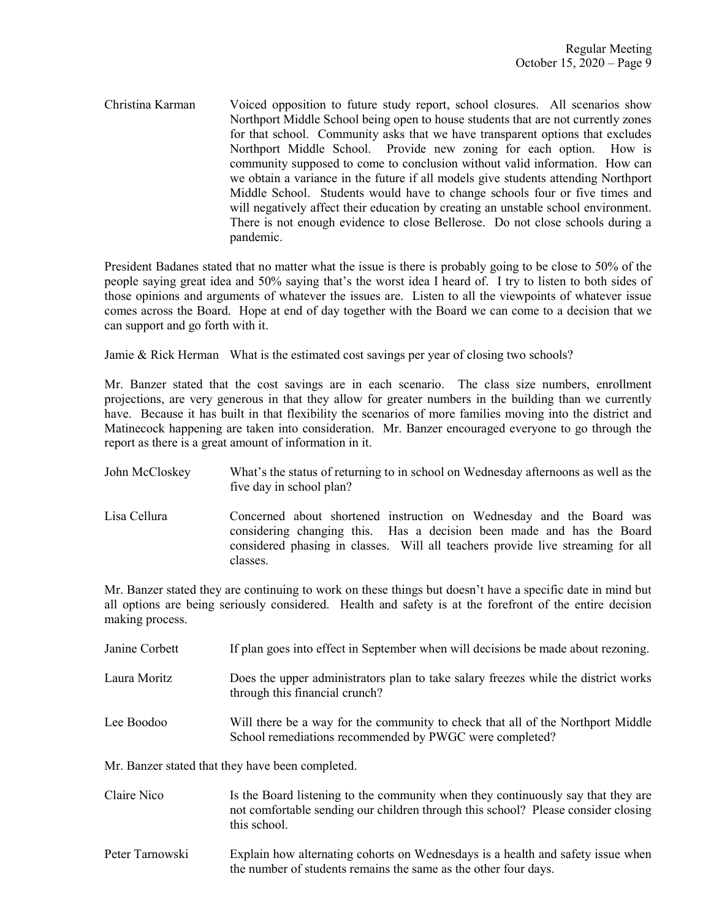Christina Karman Voiced opposition to future study report, school closures. All scenarios show Northport Middle School being open to house students that are not currently zones for that school. Community asks that we have transparent options that excludes Northport Middle School. Provide new zoning for each option. How is community supposed to come to conclusion without valid information. How can we obtain a variance in the future if all models give students attending Northport Middle School. Students would have to change schools four or five times and will negatively affect their education by creating an unstable school environment. There is not enough evidence to close Bellerose. Do not close schools during a pandemic.

President Badanes stated that no matter what the issue is there is probably going to be close to 50% of the people saying great idea and 50% saying that's the worst idea I heard of. I try to listen to both sides of those opinions and arguments of whatever the issues are. Listen to all the viewpoints of whatever issue comes across the Board. Hope at end of day together with the Board we can come to a decision that we can support and go forth with it.

Jamie & Rick Herman What is the estimated cost savings per year of closing two schools?

Mr. Banzer stated that the cost savings are in each scenario. The class size numbers, enrollment projections, are very generous in that they allow for greater numbers in the building than we currently have. Because it has built in that flexibility the scenarios of more families moving into the district and Matinecock happening are taken into consideration. Mr. Banzer encouraged everyone to go through the report as there is a great amount of information in it.

- John McCloskey What's the status of returning to in school on Wednesday afternoons as well as the five day in school plan?
- Lisa Cellura Concerned about shortened instruction on Wednesday and the Board was considering changing this. Has a decision been made and has the Board considered phasing in classes. Will all teachers provide live streaming for all classes.

Mr. Banzer stated they are continuing to work on these things but doesn't have a specific date in mind but all options are being seriously considered. Health and safety is at the forefront of the entire decision making process.

| Janine Corbett | If plan goes into effect in September when will decisions be made about rezoning.                                                                                                     |
|----------------|---------------------------------------------------------------------------------------------------------------------------------------------------------------------------------------|
| Laura Moritz   | Does the upper administrators plan to take salary freezes while the district works<br>through this financial crunch?                                                                  |
| Lee Boodoo     | Will there be a way for the community to check that all of the Northport Middle<br>School remediations recommended by PWGC were completed?                                            |
|                | Mr. Banzer stated that they have been completed.                                                                                                                                      |
| Claire Nico    | Is the Board listening to the community when they continuously say that they are<br>not comfortable sending our children through this school? Please consider closing<br>this school. |

Peter Tarnowski Explain how alternating cohorts on Wednesdays is a health and safety issue when the number of students remains the same as the other four days.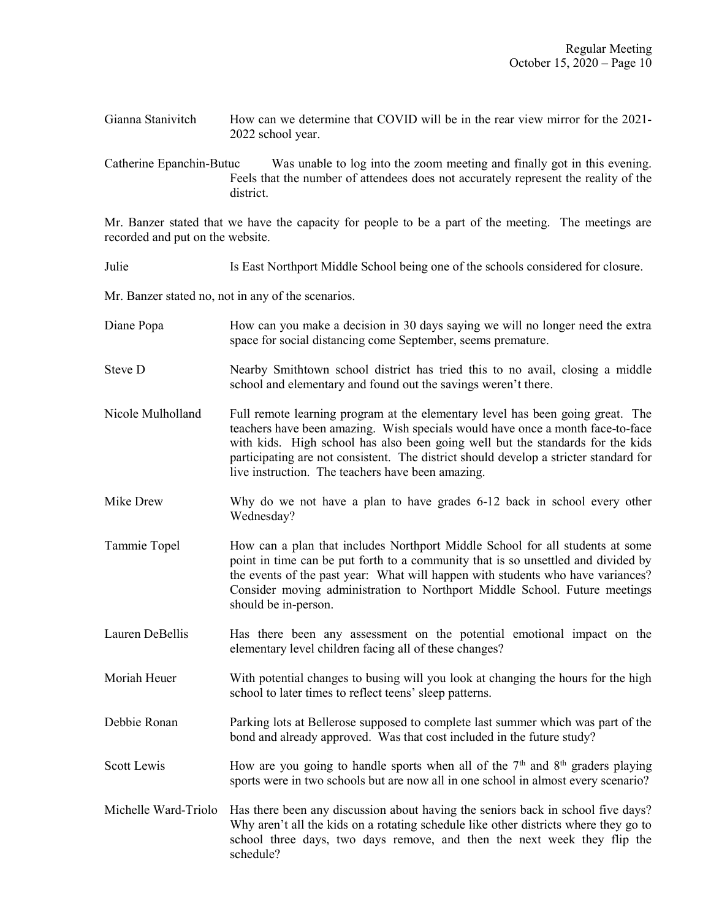| Gianna Stanivitch |                   | How can we determine that COVID will be in the rear view mirror for the 2021- |  |  |  |  |  |
|-------------------|-------------------|-------------------------------------------------------------------------------|--|--|--|--|--|
|                   | 2022 school year. |                                                                               |  |  |  |  |  |

Catherine Epanchin-Butuc Was unable to log into the zoom meeting and finally got in this evening. Feels that the number of attendees does not accurately represent the reality of the district.

Mr. Banzer stated that we have the capacity for people to be a part of the meeting. The meetings are recorded and put on the website.

Julie Is East Northport Middle School being one of the schools considered for closure.

Mr. Banzer stated no, not in any of the scenarios.

- Diane Popa How can you make a decision in 30 days saying we will no longer need the extra space for social distancing come September, seems premature.
- Steve D Nearby Smithtown school district has tried this to no avail, closing a middle school and elementary and found out the savings weren't there.
- Nicole Mulholland Full remote learning program at the elementary level has been going great. The teachers have been amazing. Wish specials would have once a month face-to-face with kids. High school has also been going well but the standards for the kids participating are not consistent. The district should develop a stricter standard for live instruction. The teachers have been amazing.
- Mike Drew Why do we not have a plan to have grades 6-12 back in school every other Wednesday?
- Tammie Topel How can a plan that includes Northport Middle School for all students at some point in time can be put forth to a community that is so unsettled and divided by the events of the past year: What will happen with students who have variances? Consider moving administration to Northport Middle School. Future meetings should be in-person.
- Lauren DeBellis Has there been any assessment on the potential emotional impact on the elementary level children facing all of these changes?
- Moriah Heuer With potential changes to busing will you look at changing the hours for the high school to later times to reflect teens' sleep patterns.
- Debbie Ronan Parking lots at Bellerose supposed to complete last summer which was part of the bond and already approved. Was that cost included in the future study?
- Scott Lewis How are you going to handle sports when all of the  $7<sup>th</sup>$  and  $8<sup>th</sup>$  graders playing sports were in two schools but are now all in one school in almost every scenario?
- Michelle Ward-Triolo Has there been any discussion about having the seniors back in school five days? Why aren't all the kids on a rotating schedule like other districts where they go to school three days, two days remove, and then the next week they flip the schedule?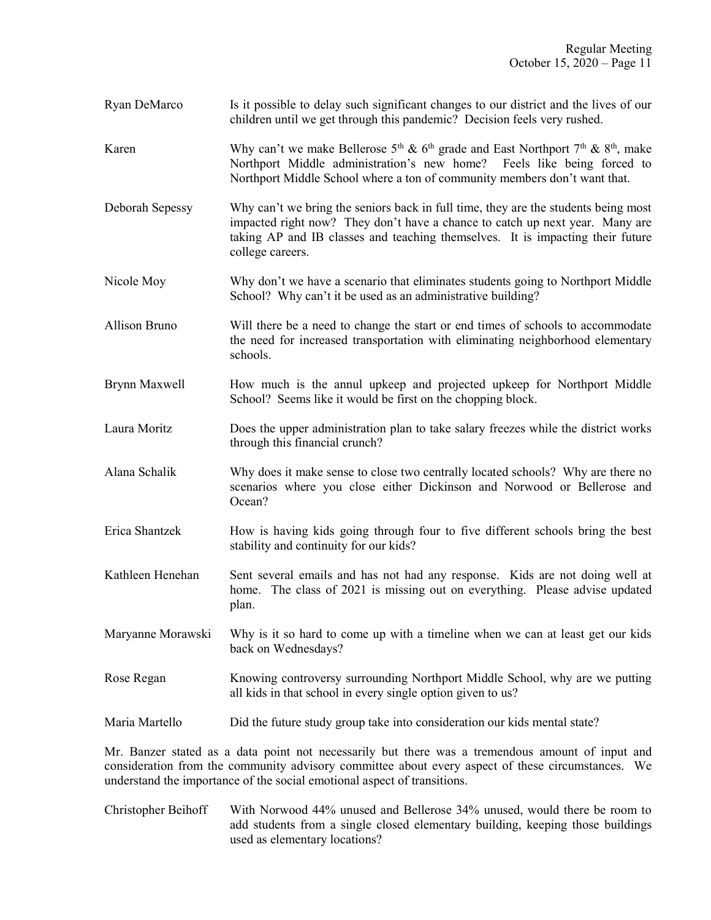- Ryan DeMarco Is it possible to delay such significant changes to our district and the lives of our children until we get through this pandemic? Decision feels very rushed.
- Karen Why can't we make Bellerose  $5<sup>th</sup>$  &  $6<sup>th</sup>$  grade and East Northport  $7<sup>th</sup>$  &  $8<sup>th</sup>$ , make Northport Middle administration's new home? Feels like being forced to Northport Middle School where a ton of community members don't want that.
- Deborah Sepessy Why can't we bring the seniors back in full time, they are the students being most impacted right now? They don't have a chance to catch up next year. Many are taking AP and IB classes and teaching themselves. It is impacting their future college careers.
- Nicole Moy Why don't we have a scenario that eliminates students going to Northport Middle School? Why can't it be used as an administrative building?
- Allison Bruno Will there be a need to change the start or end times of schools to accommodate the need for increased transportation with eliminating neighborhood elementary schools.
- Brynn Maxwell **How much** is the annul upkeep and projected upkeep for Northport Middle School? Seems like it would be first on the chopping block.
- Laura Moritz Does the upper administration plan to take salary freezes while the district works through this financial crunch?
- Alana Schalik Why does it make sense to close two centrally located schools? Why are there no scenarios where you close either Dickinson and Norwood or Bellerose and Ocean?
- Erica Shantzek How is having kids going through four to five different schools bring the best stability and continuity for our kids?
- Kathleen Henehan Sent several emails and has not had any response. Kids are not doing well at home. The class of 2021 is missing out on everything. Please advise updated plan.
- Maryanne Morawski Why is it so hard to come up with a timeline when we can at least get our kids back on Wednesdays?
- Rose Regan Knowing controversy surrounding Northport Middle School, why are we putting all kids in that school in every single option given to us?
- Maria Martello Did the future study group take into consideration our kids mental state?

Mr. Banzer stated as a data point not necessarily but there was a tremendous amount of input and consideration from the community advisory committee about every aspect of these circumstances. We understand the importance of the social emotional aspect of transitions.

Christopher Beihoff With Norwood 44% unused and Bellerose 34% unused, would there be room to add students from a single closed elementary building, keeping those buildings used as elementary locations?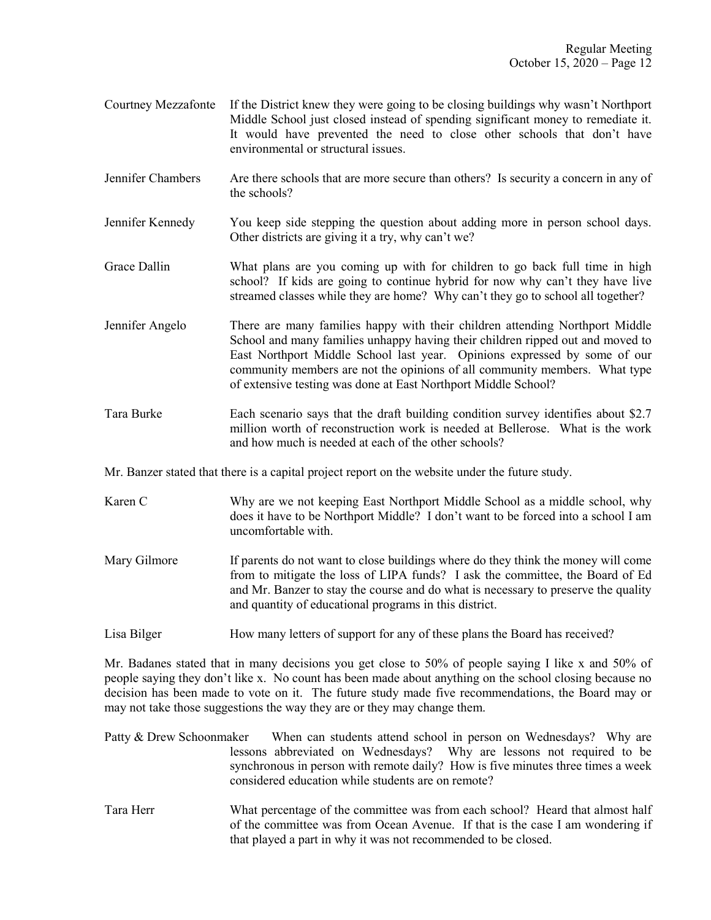Courtney Mezzafonte If the District knew they were going to be closing buildings why wasn't Northport Middle School just closed instead of spending significant money to remediate it. It would have prevented the need to close other schools that don't have environmental or structural issues.

Jennifer Chambers Are there schools that are more secure than others? Is security a concern in any of the schools?

- Jennifer Kennedy You keep side stepping the question about adding more in person school days. Other districts are giving it a try, why can't we?
- Grace Dallin What plans are you coming up with for children to go back full time in high school? If kids are going to continue hybrid for now why can't they have live streamed classes while they are home? Why can't they go to school all together?
- Jennifer Angelo There are many families happy with their children attending Northport Middle School and many families unhappy having their children ripped out and moved to East Northport Middle School last year. Opinions expressed by some of our community members are not the opinions of all community members. What type of extensive testing was done at East Northport Middle School?
- Tara Burke Each scenario says that the draft building condition survey identifies about \$2.7 million worth of reconstruction work is needed at Bellerose. What is the work and how much is needed at each of the other schools?

Mr. Banzer stated that there is a capital project report on the website under the future study.

- Karen C Why are we not keeping East Northport Middle School as a middle school, why does it have to be Northport Middle? I don't want to be forced into a school I am uncomfortable with.
- Mary Gilmore If parents do not want to close buildings where do they think the money will come from to mitigate the loss of LIPA funds? I ask the committee, the Board of Ed and Mr. Banzer to stay the course and do what is necessary to preserve the quality and quantity of educational programs in this district.
- Lisa Bilger How many letters of support for any of these plans the Board has received?

Mr. Badanes stated that in many decisions you get close to 50% of people saying I like x and 50% of people saying they don't like x. No count has been made about anything on the school closing because no decision has been made to vote on it. The future study made five recommendations, the Board may or may not take those suggestions the way they are or they may change them.

- Patty & Drew Schoonmaker When can students attend school in person on Wednesdays? Why are lessons abbreviated on Wednesdays? Why are lessons not required to be synchronous in person with remote daily? How is five minutes three times a week considered education while students are on remote?
- Tara Herr What percentage of the committee was from each school? Heard that almost half of the committee was from Ocean Avenue. If that is the case I am wondering if that played a part in why it was not recommended to be closed.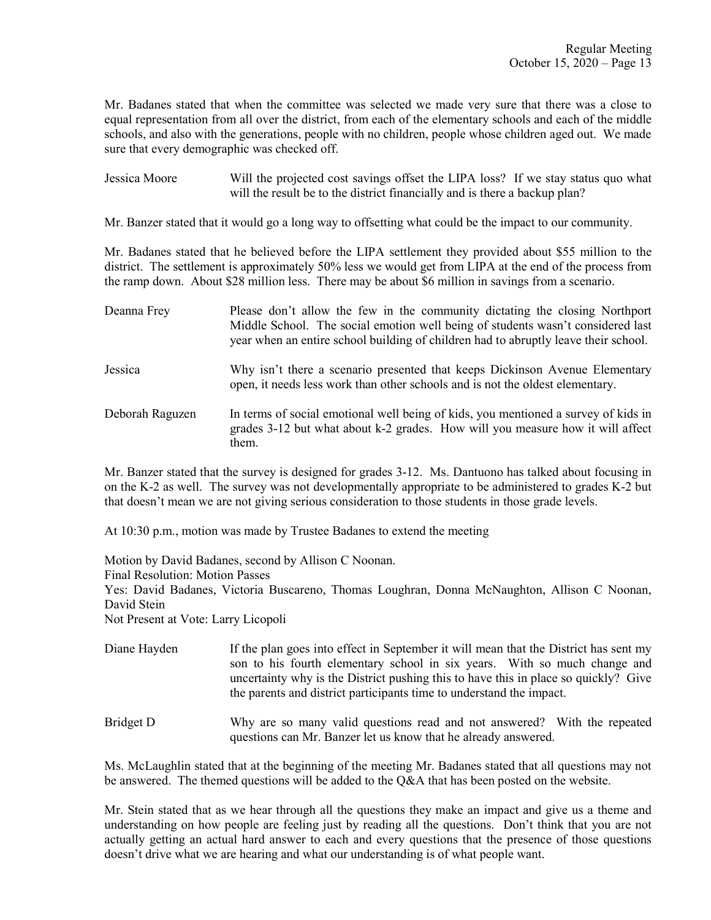Mr. Badanes stated that when the committee was selected we made very sure that there was a close to equal representation from all over the district, from each of the elementary schools and each of the middle schools, and also with the generations, people with no children, people whose children aged out. We made sure that every demographic was checked off.

Jessica Moore Will the projected cost savings offset the LIPA loss? If we stay status quo what will the result be to the district financially and is there a backup plan?

Mr. Banzer stated that it would go a long way to offsetting what could be the impact to our community.

Mr. Badanes stated that he believed before the LIPA settlement they provided about \$55 million to the district. The settlement is approximately 50% less we would get from LIPA at the end of the process from the ramp down. About \$28 million less. There may be about \$6 million in savings from a scenario.

| Deanna Frey     | Please don't allow the few in the community dictating the closing Northport<br>Middle School. The social emotion well being of students wasn't considered last<br>year when an entire school building of children had to abruptly leave their school. |
|-----------------|-------------------------------------------------------------------------------------------------------------------------------------------------------------------------------------------------------------------------------------------------------|
| Jessica         | Why isn't there a scenario presented that keeps Dickinson Avenue Elementary<br>open, it needs less work than other schools and is not the oldest elementary.                                                                                          |
| Deborah Raguzen | In terms of social emotional well being of kids, you mentioned a survey of kids in<br>grades 3-12 but what about k-2 grades. How will you measure how it will affect<br>them.                                                                         |

Mr. Banzer stated that the survey is designed for grades 3-12. Ms. Dantuono has talked about focusing in on the K-2 as well. The survey was not developmentally appropriate to be administered to grades K-2 but that doesn't mean we are not giving serious consideration to those students in those grade levels.

At 10:30 p.m., motion was made by Trustee Badanes to extend the meeting

Motion by David Badanes, second by Allison C Noonan. Final Resolution: Motion Passes Yes: David Badanes, Victoria Buscareno, Thomas Loughran, Donna McNaughton, Allison C Noonan, David Stein Not Present at Vote: Larry Licopoli

Diane Hayden If the plan goes into effect in September it will mean that the District has sent my son to his fourth elementary school in six years. With so much change and uncertainty why is the District pushing this to have this in place so quickly? Give the parents and district participants time to understand the impact.

Bridget D Why are so many valid questions read and not answered? With the repeated questions can Mr. Banzer let us know that he already answered.

Ms. McLaughlin stated that at the beginning of the meeting Mr. Badanes stated that all questions may not be answered. The themed questions will be added to the Q&A that has been posted on the website.

Mr. Stein stated that as we hear through all the questions they make an impact and give us a theme and understanding on how people are feeling just by reading all the questions. Don't think that you are not actually getting an actual hard answer to each and every questions that the presence of those questions doesn't drive what we are hearing and what our understanding is of what people want.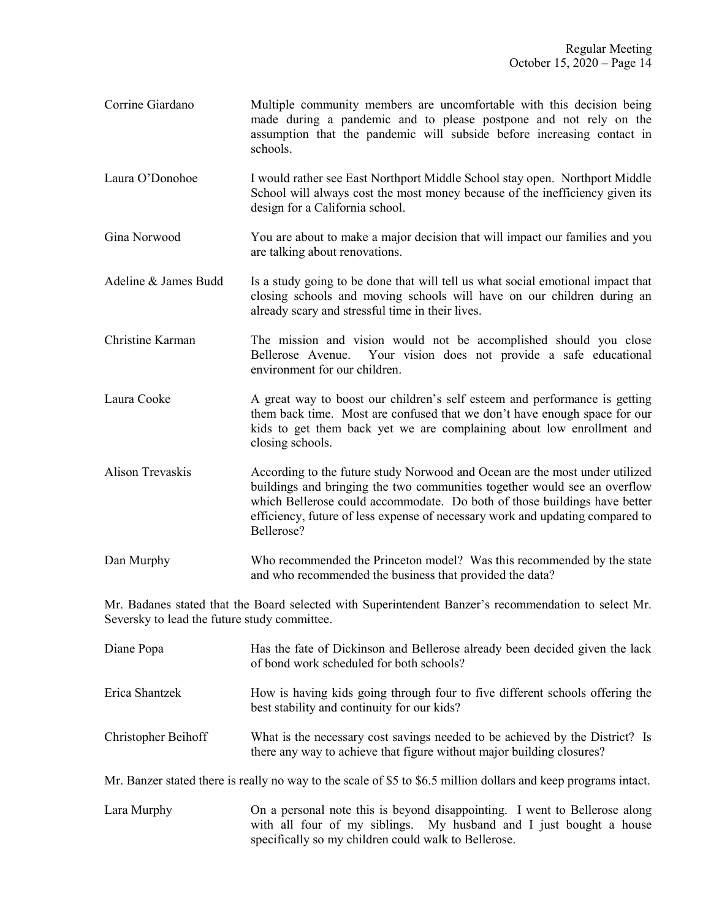- Corrine Giardano Multiple community members are uncomfortable with this decision being made during a pandemic and to please postpone and not rely on the assumption that the pandemic will subside before increasing contact in schools.
- Laura O'Donohoe I would rather see East Northport Middle School stay open. Northport Middle School will always cost the most money because of the inefficiency given its design for a California school.
- Gina Norwood You are about to make a major decision that will impact our families and you are talking about renovations.
- Adeline & James Budd Is a study going to be done that will tell us what social emotional impact that closing schools and moving schools will have on our children during an already scary and stressful time in their lives.
- Christine Karman The mission and vision would not be accomplished should you close Bellerose Avenue. Your vision does not provide a safe educational environment for our children.
- Laura Cooke A great way to boost our children's self esteem and performance is getting them back time. Most are confused that we don't have enough space for our kids to get them back yet we are complaining about low enrollment and closing schools.
- Alison Trevaskis According to the future study Norwood and Ocean are the most under utilized buildings and bringing the two communities together would see an overflow which Bellerose could accommodate. Do both of those buildings have better efficiency, future of less expense of necessary work and updating compared to Bellerose?
- Dan Murphy Who recommended the Princeton model? Was this recommended by the state and who recommended the business that provided the data?

Mr. Badanes stated that the Board selected with Superintendent Banzer's recommendation to select Mr. Seversky to lead the future study committee.

| Diane Popa          | Has the fate of Dickinson and Bellerose already been decided given the lack<br>of bond work scheduled for both schools?                               |
|---------------------|-------------------------------------------------------------------------------------------------------------------------------------------------------|
| Erica Shantzek      | How is having kids going through four to five different schools offering the<br>best stability and continuity for our kids?                           |
| Christopher Beihoff | What is the necessary cost savings needed to be achieved by the District? Is<br>there any way to achieve that figure without major building closures? |
|                     | Mr. Banzer stated there is really no way to the scale of \$5 to \$6.5 million dollars and keep programs intact.                                       |
|                     |                                                                                                                                                       |

Lara Murphy On a personal note this is beyond disappointing. I went to Bellerose along with all four of my siblings. My husband and I just bought a house specifically so my children could walk to Bellerose.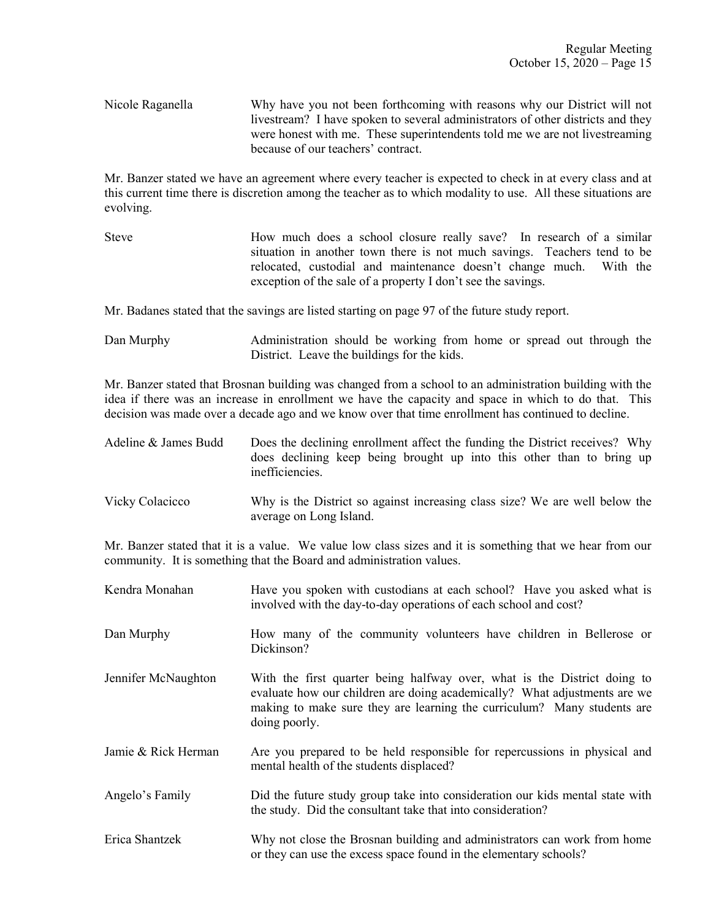Nicole Raganella Why have you not been forthcoming with reasons why our District will not livestream? I have spoken to several administrators of other districts and they were honest with me. These superintendents told me we are not livestreaming because of our teachers' contract.

Mr. Banzer stated we have an agreement where every teacher is expected to check in at every class and at this current time there is discretion among the teacher as to which modality to use. All these situations are evolving.

Steve How much does a school closure really save? In research of a similar situation in another town there is not much savings. Teachers tend to be relocated, custodial and maintenance doesn't change much. With the exception of the sale of a property I don't see the savings.

Mr. Badanes stated that the savings are listed starting on page 97 of the future study report.

Dan Murphy Administration should be working from home or spread out through the District. Leave the buildings for the kids.

Mr. Banzer stated that Brosnan building was changed from a school to an administration building with the idea if there was an increase in enrollment we have the capacity and space in which to do that. This decision was made over a decade ago and we know over that time enrollment has continued to decline.

| Adeline & James Budd | Does the declining enrollment affect the funding the District receives? Why<br>does declining keep being brought up into this other than to bring up<br>inefficiencies. |
|----------------------|-------------------------------------------------------------------------------------------------------------------------------------------------------------------------|
| Vicky Colacicco      | Why is the District so against increasing class size? We are well below the<br>average on Long Island.                                                                  |

Mr. Banzer stated that it is a value. We value low class sizes and it is something that we hear from our community. It is something that the Board and administration values.

| Kendra Monahan      | Have you spoken with custodians at each school? Have you asked what is<br>involved with the day-to-day operations of each school and cost?                                                                                                        |
|---------------------|---------------------------------------------------------------------------------------------------------------------------------------------------------------------------------------------------------------------------------------------------|
| Dan Murphy          | How many of the community volunteers have children in Bellerose or<br>Dickinson?                                                                                                                                                                  |
| Jennifer McNaughton | With the first quarter being halfway over, what is the District doing to<br>evaluate how our children are doing academically? What adjustments are we<br>making to make sure they are learning the curriculum? Many students are<br>doing poorly. |
| Jamie & Rick Herman | Are you prepared to be held responsible for repercussions in physical and<br>mental health of the students displaced?                                                                                                                             |
| Angelo's Family     | Did the future study group take into consideration our kids mental state with<br>the study. Did the consultant take that into consideration?                                                                                                      |
| Erica Shantzek      | Why not close the Brosnan building and administrators can work from home<br>or they can use the excess space found in the elementary schools?                                                                                                     |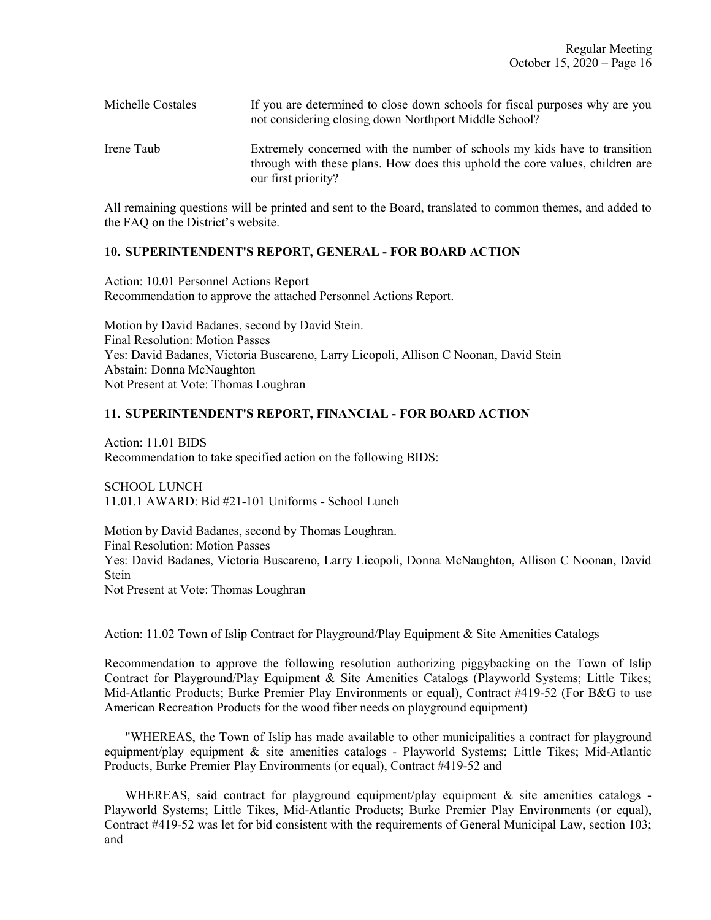| Michelle Costales | If you are determined to close down schools for fiscal purposes why are you<br>not considering closing down Northport Middle School?                                             |
|-------------------|----------------------------------------------------------------------------------------------------------------------------------------------------------------------------------|
| Irene Taub        | Extremely concerned with the number of schools my kids have to transition<br>through with these plans. How does this uphold the core values, children are<br>our first priority? |

All remaining questions will be printed and sent to the Board, translated to common themes, and added to the FAQ on the District's website.

### 10. SUPERINTENDENT'S REPORT, GENERAL - FOR BOARD ACTION

Action: 10.01 Personnel Actions Report Recommendation to approve the attached Personnel Actions Report.

Motion by David Badanes, second by David Stein. Final Resolution: Motion Passes Yes: David Badanes, Victoria Buscareno, Larry Licopoli, Allison C Noonan, David Stein Abstain: Donna McNaughton Not Present at Vote: Thomas Loughran

### 11. SUPERINTENDENT'S REPORT, FINANCIAL - FOR BOARD ACTION

Action: 11.01 BIDS Recommendation to take specified action on the following BIDS:

SCHOOL LUNCH 11.01.1 AWARD: Bid #21-101 Uniforms - School Lunch

Motion by David Badanes, second by Thomas Loughran. Final Resolution: Motion Passes Yes: David Badanes, Victoria Buscareno, Larry Licopoli, Donna McNaughton, Allison C Noonan, David Stein Not Present at Vote: Thomas Loughran

Action: 11.02 Town of Islip Contract for Playground/Play Equipment & Site Amenities Catalogs

Recommendation to approve the following resolution authorizing piggybacking on the Town of Islip Contract for Playground/Play Equipment & Site Amenities Catalogs (Playworld Systems; Little Tikes; Mid-Atlantic Products; Burke Premier Play Environments or equal), Contract #419-52 (For B&G to use American Recreation Products for the wood fiber needs on playground equipment)

 "WHEREAS, the Town of Islip has made available to other municipalities a contract for playground equipment/play equipment & site amenities catalogs - Playworld Systems; Little Tikes; Mid-Atlantic Products, Burke Premier Play Environments (or equal), Contract #419-52 and

WHEREAS, said contract for playground equipment/play equipment  $\&$  site amenities catalogs -Playworld Systems; Little Tikes, Mid-Atlantic Products; Burke Premier Play Environments (or equal), Contract #419-52 was let for bid consistent with the requirements of General Municipal Law, section 103; and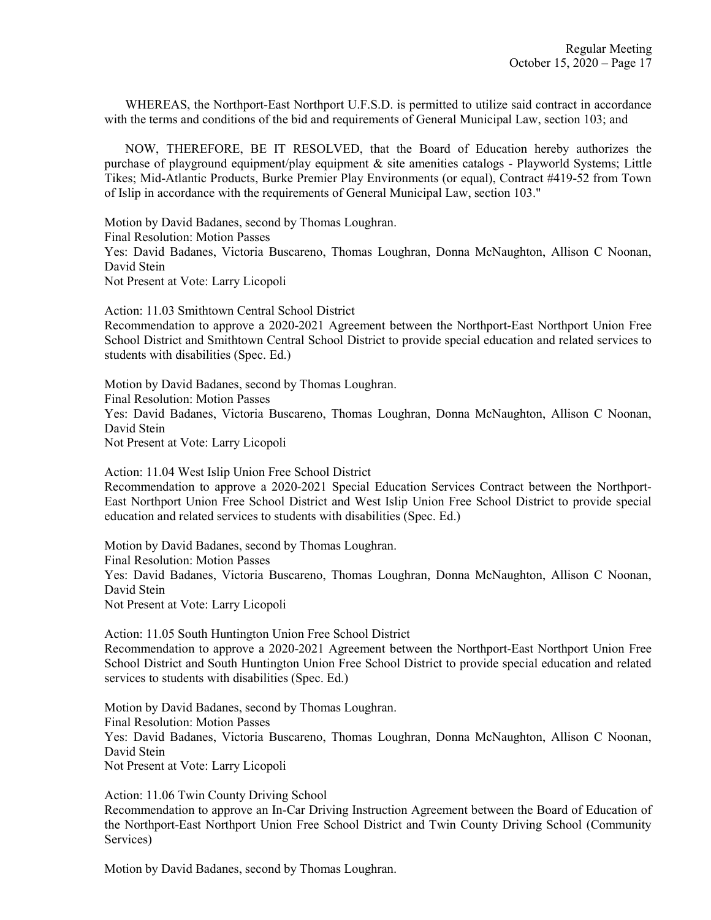WHEREAS, the Northport-East Northport U.F.S.D. is permitted to utilize said contract in accordance with the terms and conditions of the bid and requirements of General Municipal Law, section 103; and

 NOW, THEREFORE, BE IT RESOLVED, that the Board of Education hereby authorizes the purchase of playground equipment/play equipment & site amenities catalogs - Playworld Systems; Little Tikes; Mid-Atlantic Products, Burke Premier Play Environments (or equal), Contract #419-52 from Town of Islip in accordance with the requirements of General Municipal Law, section 103."

Motion by David Badanes, second by Thomas Loughran. Final Resolution: Motion Passes Yes: David Badanes, Victoria Buscareno, Thomas Loughran, Donna McNaughton, Allison C Noonan, David Stein Not Present at Vote: Larry Licopoli

Action: 11.03 Smithtown Central School District Recommendation to approve a 2020-2021 Agreement between the Northport-East Northport Union Free School District and Smithtown Central School District to provide special education and related services to students with disabilities (Spec. Ed.)

Motion by David Badanes, second by Thomas Loughran. Final Resolution: Motion Passes Yes: David Badanes, Victoria Buscareno, Thomas Loughran, Donna McNaughton, Allison C Noonan, David Stein Not Present at Vote: Larry Licopoli

Action: 11.04 West Islip Union Free School District Recommendation to approve a 2020-2021 Special Education Services Contract between the Northport-East Northport Union Free School District and West Islip Union Free School District to provide special

education and related services to students with disabilities (Spec. Ed.)

Motion by David Badanes, second by Thomas Loughran.

Final Resolution: Motion Passes

Yes: David Badanes, Victoria Buscareno, Thomas Loughran, Donna McNaughton, Allison C Noonan, David Stein

Not Present at Vote: Larry Licopoli

Action: 11.05 South Huntington Union Free School District Recommendation to approve a 2020-2021 Agreement between the Northport-East Northport Union Free School District and South Huntington Union Free School District to provide special education and related services to students with disabilities (Spec. Ed.)

Motion by David Badanes, second by Thomas Loughran. Final Resolution: Motion Passes Yes: David Badanes, Victoria Buscareno, Thomas Loughran, Donna McNaughton, Allison C Noonan, David Stein Not Present at Vote: Larry Licopoli

Action: 11.06 Twin County Driving School Recommendation to approve an In-Car Driving Instruction Agreement between the Board of Education of the Northport-East Northport Union Free School District and Twin County Driving School (Community Services)

Motion by David Badanes, second by Thomas Loughran.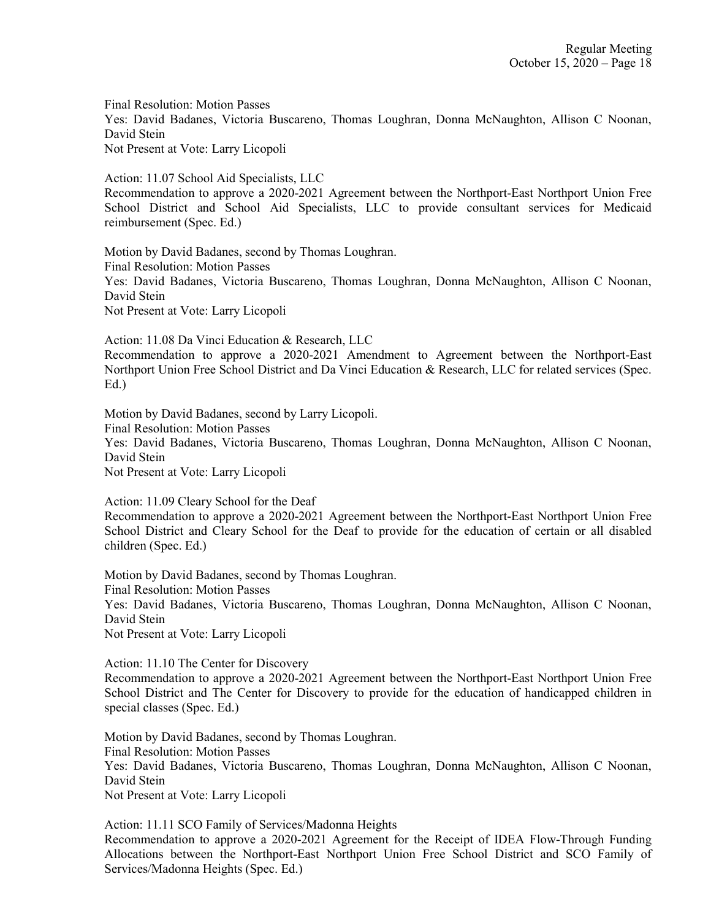Final Resolution: Motion Passes Yes: David Badanes, Victoria Buscareno, Thomas Loughran, Donna McNaughton, Allison C Noonan, David Stein Not Present at Vote: Larry Licopoli

Action: 11.07 School Aid Specialists, LLC

Recommendation to approve a 2020-2021 Agreement between the Northport-East Northport Union Free School District and School Aid Specialists, LLC to provide consultant services for Medicaid reimbursement (Spec. Ed.)

Motion by David Badanes, second by Thomas Loughran. Final Resolution: Motion Passes Yes: David Badanes, Victoria Buscareno, Thomas Loughran, Donna McNaughton, Allison C Noonan, David Stein Not Present at Vote: Larry Licopoli

Action: 11.08 Da Vinci Education & Research, LLC Recommendation to approve a 2020-2021 Amendment to Agreement between the Northport-East Northport Union Free School District and Da Vinci Education & Research, LLC for related services (Spec. Ed.)

Motion by David Badanes, second by Larry Licopoli.

Final Resolution: Motion Passes

Yes: David Badanes, Victoria Buscareno, Thomas Loughran, Donna McNaughton, Allison C Noonan, David Stein

Not Present at Vote: Larry Licopoli

Action: 11.09 Cleary School for the Deaf

Recommendation to approve a 2020-2021 Agreement between the Northport-East Northport Union Free School District and Cleary School for the Deaf to provide for the education of certain or all disabled children (Spec. Ed.)

Motion by David Badanes, second by Thomas Loughran. Final Resolution: Motion Passes Yes: David Badanes, Victoria Buscareno, Thomas Loughran, Donna McNaughton, Allison C Noonan, David Stein Not Present at Vote: Larry Licopoli

Action: 11.10 The Center for Discovery

Recommendation to approve a 2020-2021 Agreement between the Northport-East Northport Union Free School District and The Center for Discovery to provide for the education of handicapped children in special classes (Spec. Ed.)

Motion by David Badanes, second by Thomas Loughran. Final Resolution: Motion Passes Yes: David Badanes, Victoria Buscareno, Thomas Loughran, Donna McNaughton, Allison C Noonan, David Stein Not Present at Vote: Larry Licopoli

Action: 11.11 SCO Family of Services/Madonna Heights

Recommendation to approve a 2020-2021 Agreement for the Receipt of IDEA Flow-Through Funding Allocations between the Northport-East Northport Union Free School District and SCO Family of Services/Madonna Heights (Spec. Ed.)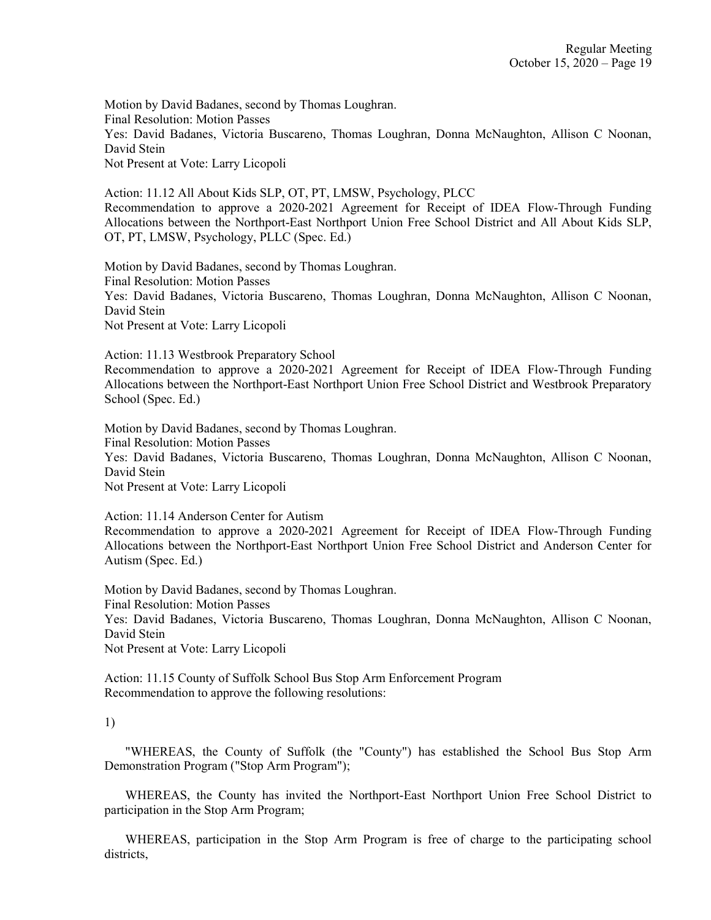Motion by David Badanes, second by Thomas Loughran. Final Resolution: Motion Passes Yes: David Badanes, Victoria Buscareno, Thomas Loughran, Donna McNaughton, Allison C Noonan, David Stein Not Present at Vote: Larry Licopoli

Action: 11.12 All About Kids SLP, OT, PT, LMSW, Psychology, PLCC Recommendation to approve a 2020-2021 Agreement for Receipt of IDEA Flow-Through Funding Allocations between the Northport-East Northport Union Free School District and All About Kids SLP, OT, PT, LMSW, Psychology, PLLC (Spec. Ed.)

Motion by David Badanes, second by Thomas Loughran. Final Resolution: Motion Passes Yes: David Badanes, Victoria Buscareno, Thomas Loughran, Donna McNaughton, Allison C Noonan, David Stein Not Present at Vote: Larry Licopoli

Action: 11.13 Westbrook Preparatory School Recommendation to approve a 2020-2021 Agreement for Receipt of IDEA Flow-Through Funding Allocations between the Northport-East Northport Union Free School District and Westbrook Preparatory School (Spec. Ed.)

Motion by David Badanes, second by Thomas Loughran. Final Resolution: Motion Passes Yes: David Badanes, Victoria Buscareno, Thomas Loughran, Donna McNaughton, Allison C Noonan, David Stein Not Present at Vote: Larry Licopoli

Action: 11.14 Anderson Center for Autism

Recommendation to approve a 2020-2021 Agreement for Receipt of IDEA Flow-Through Funding Allocations between the Northport-East Northport Union Free School District and Anderson Center for Autism (Spec. Ed.)

Motion by David Badanes, second by Thomas Loughran. Final Resolution: Motion Passes Yes: David Badanes, Victoria Buscareno, Thomas Loughran, Donna McNaughton, Allison C Noonan, David Stein Not Present at Vote: Larry Licopoli

Action: 11.15 County of Suffolk School Bus Stop Arm Enforcement Program Recommendation to approve the following resolutions:

1)

 "WHEREAS, the County of Suffolk (the "County") has established the School Bus Stop Arm Demonstration Program ("Stop Arm Program");

 WHEREAS, the County has invited the Northport-East Northport Union Free School District to participation in the Stop Arm Program;

 WHEREAS, participation in the Stop Arm Program is free of charge to the participating school districts.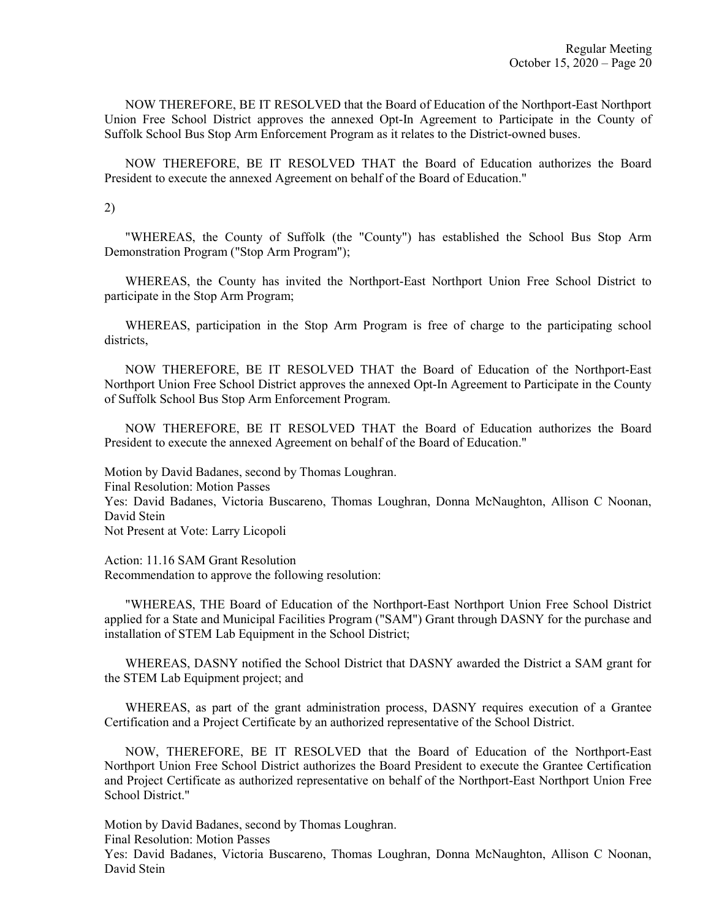NOW THEREFORE, BE IT RESOLVED that the Board of Education of the Northport-East Northport Union Free School District approves the annexed Opt-In Agreement to Participate in the County of Suffolk School Bus Stop Arm Enforcement Program as it relates to the District-owned buses.

 NOW THEREFORE, BE IT RESOLVED THAT the Board of Education authorizes the Board President to execute the annexed Agreement on behalf of the Board of Education."

2)

 "WHEREAS, the County of Suffolk (the "County") has established the School Bus Stop Arm Demonstration Program ("Stop Arm Program");

 WHEREAS, the County has invited the Northport-East Northport Union Free School District to participate in the Stop Arm Program;

 WHEREAS, participation in the Stop Arm Program is free of charge to the participating school districts,

 NOW THEREFORE, BE IT RESOLVED THAT the Board of Education of the Northport-East Northport Union Free School District approves the annexed Opt-In Agreement to Participate in the County of Suffolk School Bus Stop Arm Enforcement Program.

 NOW THEREFORE, BE IT RESOLVED THAT the Board of Education authorizes the Board President to execute the annexed Agreement on behalf of the Board of Education."

Motion by David Badanes, second by Thomas Loughran.

Final Resolution: Motion Passes

Yes: David Badanes, Victoria Buscareno, Thomas Loughran, Donna McNaughton, Allison C Noonan, David Stein

Not Present at Vote: Larry Licopoli

Action: 11.16 SAM Grant Resolution Recommendation to approve the following resolution:

 "WHEREAS, THE Board of Education of the Northport-East Northport Union Free School District applied for a State and Municipal Facilities Program ("SAM") Grant through DASNY for the purchase and installation of STEM Lab Equipment in the School District;

 WHEREAS, DASNY notified the School District that DASNY awarded the District a SAM grant for the STEM Lab Equipment project; and

 WHEREAS, as part of the grant administration process, DASNY requires execution of a Grantee Certification and a Project Certificate by an authorized representative of the School District.

 NOW, THEREFORE, BE IT RESOLVED that the Board of Education of the Northport-East Northport Union Free School District authorizes the Board President to execute the Grantee Certification and Project Certificate as authorized representative on behalf of the Northport-East Northport Union Free School District."

Motion by David Badanes, second by Thomas Loughran. Final Resolution: Motion Passes

Yes: David Badanes, Victoria Buscareno, Thomas Loughran, Donna McNaughton, Allison C Noonan, David Stein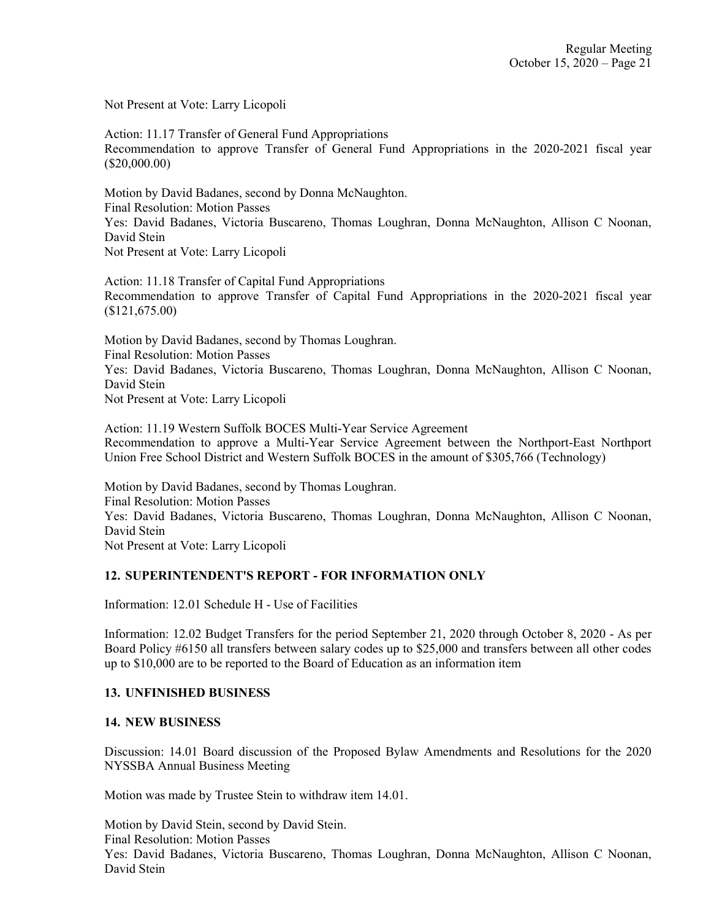Not Present at Vote: Larry Licopoli

Action: 11.17 Transfer of General Fund Appropriations Recommendation to approve Transfer of General Fund Appropriations in the 2020-2021 fiscal year (\$20,000.00)

Motion by David Badanes, second by Donna McNaughton. Final Resolution: Motion Passes Yes: David Badanes, Victoria Buscareno, Thomas Loughran, Donna McNaughton, Allison C Noonan, David Stein Not Present at Vote: Larry Licopoli

Action: 11.18 Transfer of Capital Fund Appropriations Recommendation to approve Transfer of Capital Fund Appropriations in the 2020-2021 fiscal year (\$121,675.00)

Motion by David Badanes, second by Thomas Loughran. Final Resolution: Motion Passes Yes: David Badanes, Victoria Buscareno, Thomas Loughran, Donna McNaughton, Allison C Noonan, David Stein Not Present at Vote: Larry Licopoli

Action: 11.19 Western Suffolk BOCES Multi-Year Service Agreement Recommendation to approve a Multi-Year Service Agreement between the Northport-East Northport Union Free School District and Western Suffolk BOCES in the amount of \$305,766 (Technology)

Motion by David Badanes, second by Thomas Loughran. Final Resolution: Motion Passes Yes: David Badanes, Victoria Buscareno, Thomas Loughran, Donna McNaughton, Allison C Noonan, David Stein Not Present at Vote: Larry Licopoli

## 12. SUPERINTENDENT'S REPORT - FOR INFORMATION ONLY

Information: 12.01 Schedule H - Use of Facilities

Information: 12.02 Budget Transfers for the period September 21, 2020 through October 8, 2020 - As per Board Policy #6150 all transfers between salary codes up to \$25,000 and transfers between all other codes up to \$10,000 are to be reported to the Board of Education as an information item

### 13. UNFINISHED BUSINESS

#### 14. NEW BUSINESS

Discussion: 14.01 Board discussion of the Proposed Bylaw Amendments and Resolutions for the 2020 NYSSBA Annual Business Meeting

Motion was made by Trustee Stein to withdraw item 14.01.

Motion by David Stein, second by David Stein. Final Resolution: Motion Passes Yes: David Badanes, Victoria Buscareno, Thomas Loughran, Donna McNaughton, Allison C Noonan, David Stein